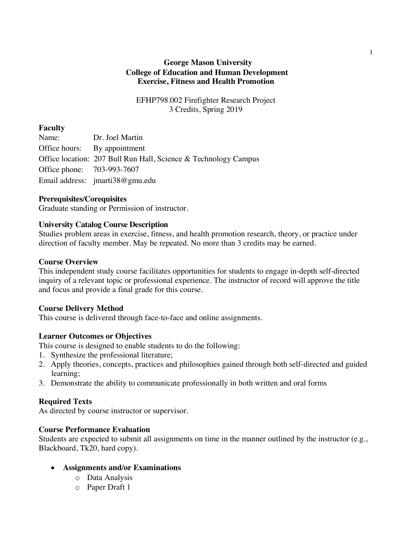# **George Mason University College of Education and Human Development Exercise, Fitness and Health Promotion**

EFHP798.002 Firefighter Research Project 3 Credits, Spring 2019

### **Faculty**

Name: Dr. Joel Martin Office hours: By appointment Office location: 207 Bull Run Hall, Science & Technology Campus Office phone: 703-993-7607 Email address: jmarti38@gmu.edu

## **Prerequisites/Corequisites**

Graduate standing or Permission of instructor.

## **University Catalog Course Description**

Studies problem areas in exercise, fitness, and health promotion research, theory, or practice under direction of faculty member. May be repeated. No more than 3 credits may be earned.

### **Course Overview**

This independent study course facilitates opportunities for students to engage in-depth self-directed inquiry of a relevant topic or professional experience. The instructor of record will approve the title and focus and provide a final grade for this course.

### **Course Delivery Method**

This course is delivered through face-to-face and online assignments.

# **Learner Outcomes or Objectives**

This course is designed to enable students to do the following:

- 1. Synthesize the professional literature;
- 2. Apply theories, concepts, practices and philosophies gained through both self-directed and guided learning;
- 3. Demonstrate the ability to communicate professionally in both written and oral forms

# **Required Texts**

As directed by course instructor or supervisor.

# **Course Performance Evaluation**

Students are expected to submit all assignments on time in the manner outlined by the instructor (e.g., Blackboard, Tk20, hard copy).

- **Assignments and/or Examinations**
	- o Data Analysis
	- o Paper Draft 1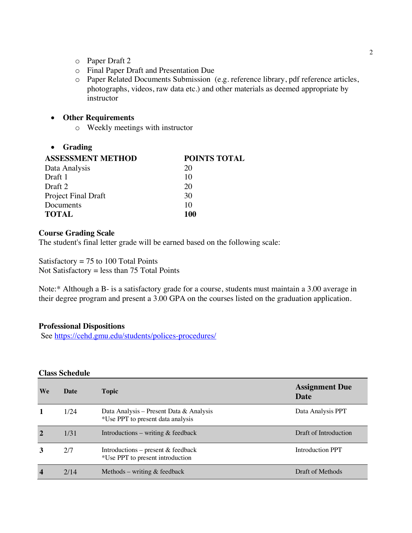- o Paper Draft 2
- o Final Paper Draft and Presentation Due
- o Paper Related Documents Submission (e.g. reference library, pdf reference articles, photographs, videos, raw data etc.) and other materials as deemed appropriate by instructor

### • **Other Requirements**

o Weekly meetings with instructor

#### • **Grading**

| <b>POINTS TOTAL</b> |
|---------------------|
| 20                  |
| 10                  |
| 20                  |
| 30                  |
| 10                  |
| 100                 |
|                     |

### **Course Grading Scale**

The student's final letter grade will be earned based on the following scale:

Satisfactory  $= 75$  to 100 Total Points Not Satisfactory = less than  $75$  Total Points

Note:\* Although a B- is a satisfactory grade for a course, students must maintain a 3.00 average in their degree program and present a 3.00 GPA on the courses listed on the graduation application.

### **Professional Dispositions**

See https://cehd.gmu.edu/students/polices-procedures/

#### **Class Schedule**

| We                      | Date | <b>Topic</b>                                                                 | <b>Assignment Due</b><br>Date |
|-------------------------|------|------------------------------------------------------------------------------|-------------------------------|
|                         | 1/24 | Data Analysis – Present Data & Analysis<br>*Use PPT to present data analysis | Data Analysis PPT             |
| $\mathbf{2}$            | 1/31 | Introductions – writing $&$ feedback                                         | Draft of Introduction         |
| 3                       | 2/7  | Introductions – present & feedback<br>*Use PPT to present introduction       | Introduction PPT              |
| $\overline{\mathbf{4}}$ | 2/14 | Methods – writing $\&$ feedback                                              | Draft of Methods              |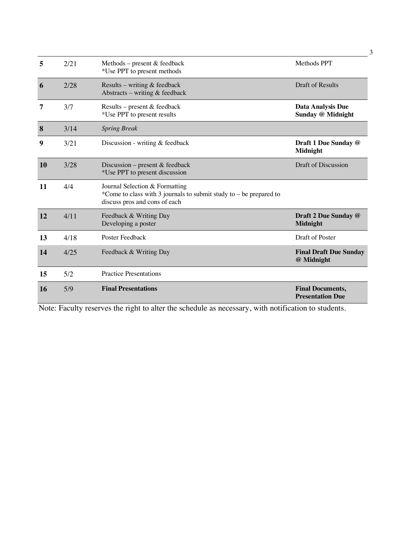| 5         | 2/21 | Methods – present $&$ feedback<br>*Use PPT to present methods                                                                           | Methods PPT                                        |
|-----------|------|-----------------------------------------------------------------------------------------------------------------------------------------|----------------------------------------------------|
| 6         | 2/28 | Results – writing $&$ feedback<br>Abstracts - writing & feedback                                                                        | <b>Draft of Results</b>                            |
| 7         | 3/7  | Results - present & feedback<br>*Use PPT to present results                                                                             | <b>Data Analysis Due</b><br>Sunday @ Midnight      |
| 8         | 3/14 | <b>Spring Break</b>                                                                                                                     |                                                    |
| 9         | 3/21 | Discussion - writing $&$ feedback                                                                                                       | Draft 1 Due Sunday @<br>Midnight                   |
| <b>10</b> | 3/28 | Discussion – present $&$ feedback<br>*Use PPT to present discussion                                                                     | Draft of Discussion                                |
| 11        | 4/4  | Journal Selection & Formatting<br>*Come to class with 3 journals to submit study to $-$ be prepared to<br>discuss pros and cons of each |                                                    |
| 12        | 4/11 | Feedback & Writing Day<br>Developing a poster                                                                                           | Draft 2 Due Sunday @<br><b>Midnight</b>            |
| 13        | 4/18 | Poster Feedback                                                                                                                         | Draft of Poster                                    |
| 14        | 4/25 | Feedback & Writing Day                                                                                                                  | <b>Final Draft Due Sunday</b><br>@ Midnight        |
| 15        | 5/2  | <b>Practice Presentations</b>                                                                                                           |                                                    |
| <b>16</b> | 5/9  | <b>Final Presentations</b>                                                                                                              | <b>Final Documents,</b><br><b>Presentation Due</b> |

Note: Faculty reserves the right to alter the schedule as necessary, with notification to students.